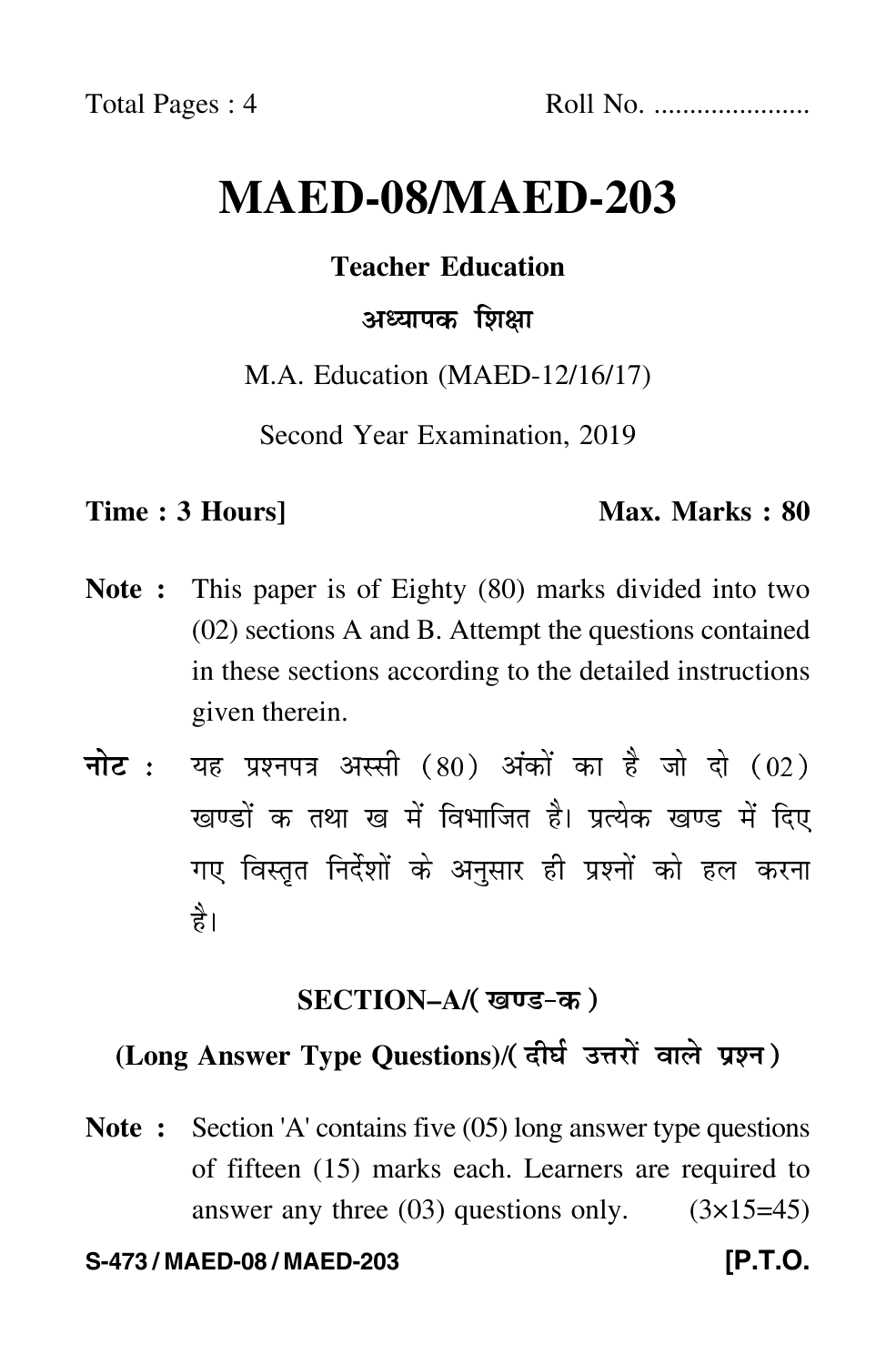# **MAED-08/MAED-203**

# **Teacher Education**

# अध्यापक शिक्षा

M.A. Education (MAED-12/16/17)

Second Year Examination, 2019

# **Time : 3 Hours]** Max. Marks : 80

- **Note :** This paper is of Eighty (80) marks divided into two (02) sections A and B. Attempt the questions contained in these sections according to the detailed instructions given therein.
- नोट : यह प्रश्नपत्र अस्सी (80) अंकों का है जो दो (02) खण्डों क तथा ख में विभाजित है। प्रत्येक खण्ड में दिए गए विस्तृत निर्देशों के अनुसार ही प्रश्नों को हल करन<mark>ा</mark> है।

# **SECTION–A/**

# **(Long Answer Type Questions)**/

**Note :** Section 'A' contains five (05) long answer type questions of fifteen (15) marks each. Learners are required to answer any three  $(03)$  questions only.  $(3\times15=45)$ 

### **S-473 / MAED-08 / MAED-203 [P.T.O.**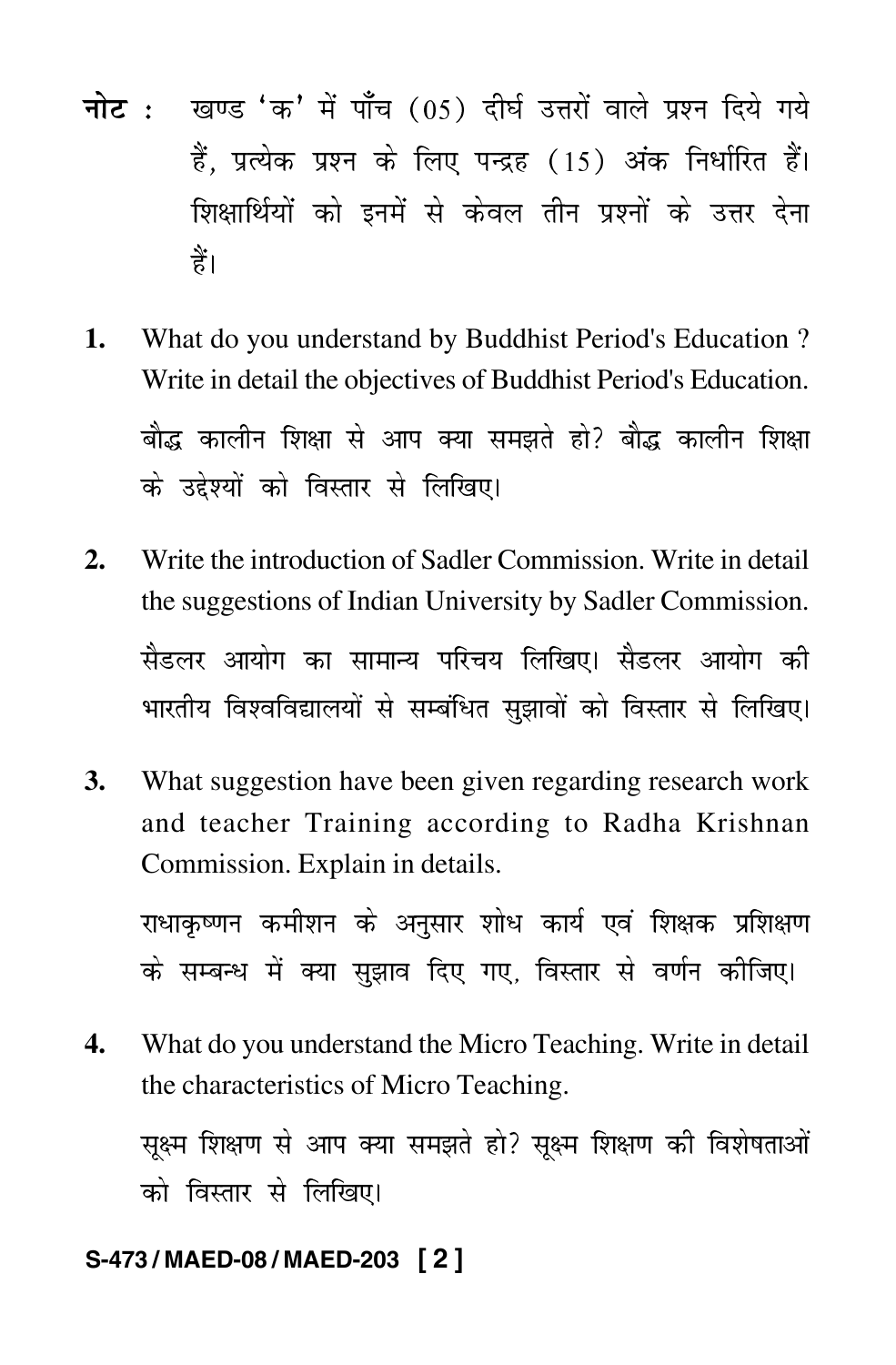- <mark>नोट</mark> : खण्ड 'क' में पाँच (05) दीर्घ उत्तरों वाले प्रश्न दिये गये हैं, प्रत्येक प्रश्न के लिए पन्द्रह (15) अंक निर्धारित हैं। शिक्षार्थियों को इनमें से केवल तीन प्रश्नों के उत्तर देना हैं।
- **1.** What do you understand by Buddhist Period's Education ? Write in detail the objectives of Buddhist Period's Education. बौद्ध कालीन शिक्षा से आप क्या समझते हो? बौद्ध कालीन शिक्ष --के उद्देश्यों को विस्तार से लिखिए।
- **2.** Write the introduction of Sadler Commission. Write in detail the suggestions of Indian University by Sadler Commission. सैडलर आयोग का सामान्य परिचय लिखिए। सैडलर आयोग की भारतीय विश्वविद्यालयों से सम्बंधित सुझावों को विस्तार से लिखिए। -
- **3.** What suggestion have been given regarding research work and teacher Training according to Radha Krishnan Commission. Explain in details.

राधाकृष्णन कमीशन के अनुसार शोध कार्य एवं शिक्षक प्रशिक्षण  $\mathfrak{f}$ के सम्बन्ध में क्या सुझाव दिए गए, विस्तार से वर्णन कीजिए।

**4.** What do you understand the Micro Teaching. Write in detail the characteristics of Micro Teaching.

सूक्ष्म शिक्षण से आप क्या समझते हो? सूक्ष्म शिक्षण की विशेषताओं  $\ddot{\phantom{a}}$ को विस्तार से लिखिए।

### **S-473 / MAED-08 / MAED-203 [ 2 ]**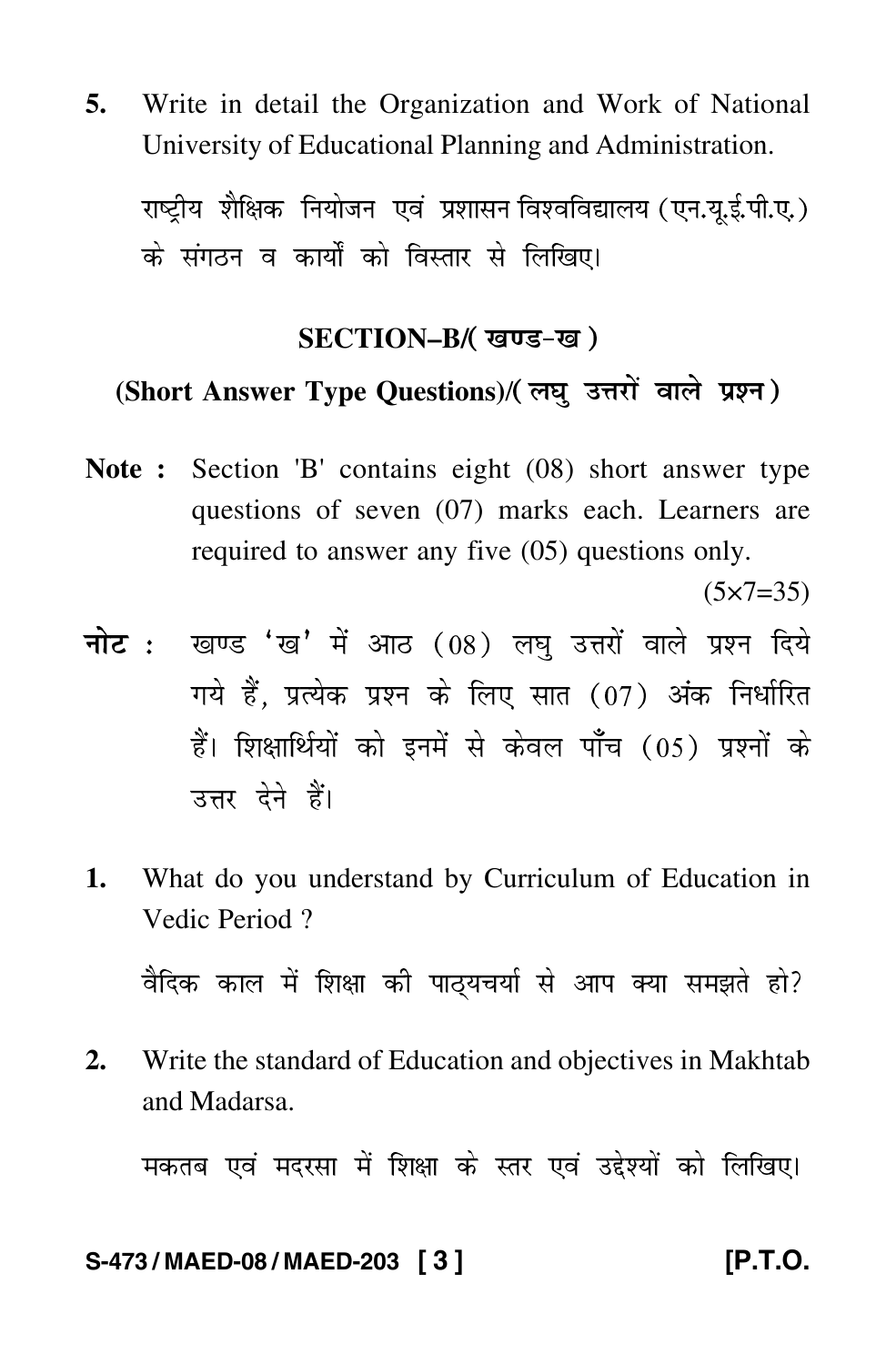**5.** Write in detail the Organization and Work of National University of Educational Planning and Administration.

राष्ट्रीय शैक्षिक नियोजन एवं प्रशासन विश्वविद्यालय ( एन.यू.ई.पी.ए. ) -के संगठन व कार्यों को विस्तार से लिखिए।

### **SECTION–B/**

# **(Short Answer Type Questions)**/

**Note :** Section 'B' contains eight (08) short answer type questions of seven (07) marks each. Learners are required to answer any five (05) questions only.

 $(5 \times 7 = 35)$ 

- <mark>नोट</mark> : खण्ड 'ख' में आठ (08) लघु उत्तरों वाले प्रश्न दिये गये हैं, प्रत्येक प्रश्न के लिए सात (07) अंक निर्धारित हैं। शिक्षार्थियों को इनमें से केवल पाँच (05) प्रश्नों के उत्तर देने हैं।
- **1.** What do you understand by Curriculum of Education in Vedic Period ?

वैदिक काल में शिक्षा की पाठ्यचर्या से आप क्या समझते हो? -

**2.** Write the standard of Education and objectives in Makhtab and Madarsa.

मकतब एवं मदरसा में शिक्षा के स्तर एवं उद्देश्यों को लिखिए। -

### **S-473 / MAED-08 / MAED-203 [ 3 ] [P.T.O.**